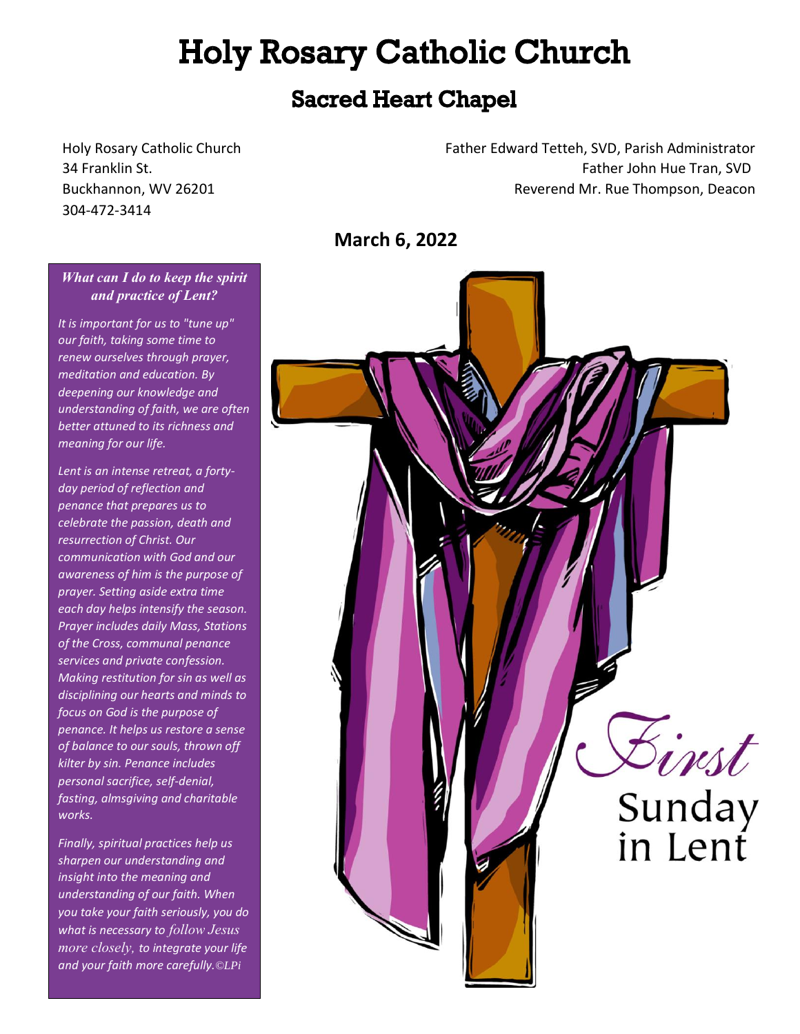# **Holy Rosary Catholic Church**

## **Sacred Heart Chapel**

304-472-3414

Holy Rosary Catholic Church Father Edward Tetteh, SVD, Parish Administrator 34 Franklin St. Father John Hue Tran, SVD Buckhannon, WV 26201 Reverend Mr. Rue Thompson, Deacon

**March 6, 2022** 



#### *What can I do to keep the spirit and practice of Lent?*

*It is important for us to "tune up" our faith, taking some time to renew ourselves through prayer, meditation and education. By deepening our knowledge and understanding of faith, we are often better attuned to its richness and meaning for our life.*

*Lent is an intense retreat, a fortyday period of reflection and penance that prepares us to celebrate the passion, death and resurrection of Christ. Our communication with God and our awareness of him is the purpose of prayer. Setting aside extra time each day helps intensify the season. Prayer includes daily Mass, Stations of the Cross, communal penance services and private confession. Making restitution for sin as well as disciplining our hearts and minds to focus on God is the purpose of penance. It helps us restore a sense of balance to our souls, thrown off kilter by sin. Penance includes personal sacrifice, self-denial, fasting, almsgiving and charitable works.*

*Finally, spiritual practices help us sharpen our understanding and insight into the meaning and understanding of our faith. When you take your faith seriously, you do what is necessary to follow Jesus more closely, to integrate your life and your faith more carefully.©LPi*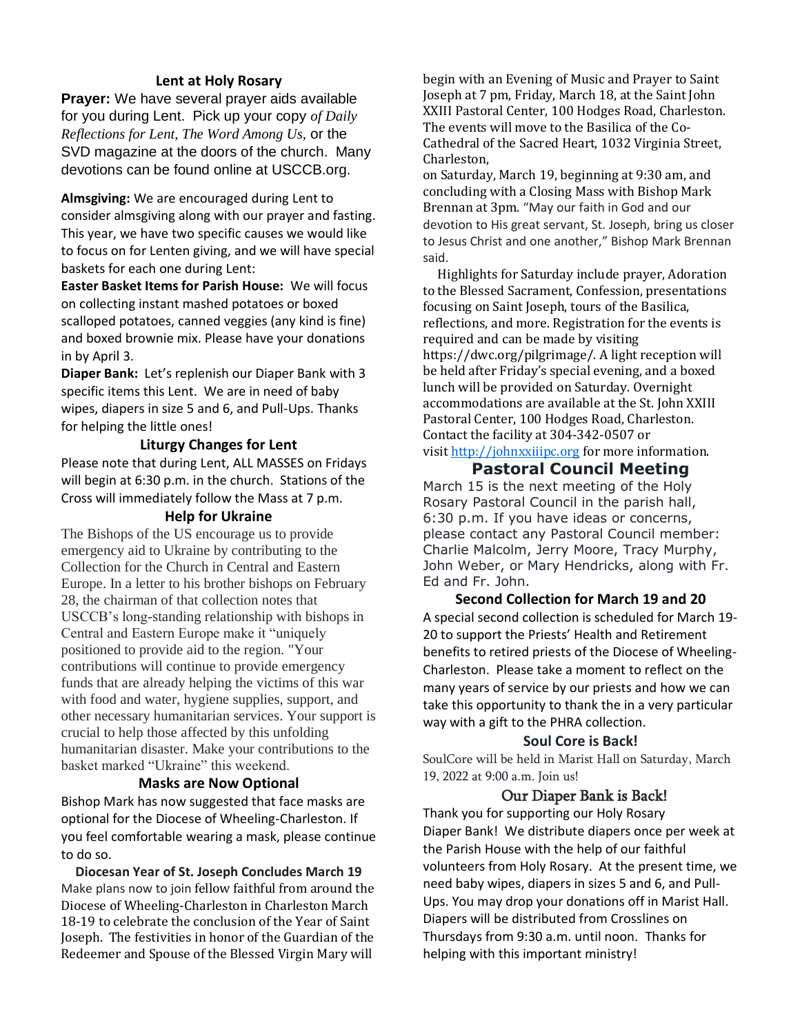#### **Lent at Holy Rosary**

**Prayer:** We have several prayer aids available for you during Lent. Pick up your copy *of Daily Reflections for Lent, The Word Among Us,* or the SVD magazine at the doors of the church. Many devotions can be found online at USCCB.org.

**Almsgiving:** We are encouraged during Lent to consider almsgiving along with our prayer and fasting. This year, we have two specific causes we would like to focus on for Lenten giving, and we will have special baskets for each one during Lent:

**Easter Basket Items for Parish House:** We will focus on collecting instant mashed potatoes or boxed scalloped potatoes, canned veggies (any kind is fine) and boxed brownie mix. Please have your donations in by April 3.

**Diaper Bank:** Let's replenish our Diaper Bank with 3 specific items this Lent. We are in need of baby wipes, diapers in size 5 and 6, and Pull-Ups. Thanks for helping the little ones!

#### **Liturgy Changes for Lent**

Please note that during Lent, ALL MASSES on Fridays will begin at 6:30 p.m. in the church. Stations of the Cross will immediately follow the Mass at 7 p.m.

#### **Help for Ukraine**

The Bishops of the US encourage us to provide emergency aid to Ukraine by contributing to the Collection for the Church in Central and Eastern Europe. In a letter to his brother bishops on February 28, the chairman of that collection notes that USCCB's long-standing relationship with bishops in Central and Eastern Europe make it "uniquely positioned to provide aid to the region. "Your contributions will continue to provide emergency funds that are already helping the victims of this war with food and water, hygiene supplies, support, and other necessary humanitarian services. Your support is crucial to help those affected by this unfolding humanitarian disaster. Make your contributions to the basket marked "Ukraine" this weekend.

#### **Masks are Now Optional**

Bishop Mark has now suggested that face masks are optional for the Diocese of Wheeling-Charleston. If you feel comfortable wearing a mask, please continue to do so.

**Diocesan Year of St. Joseph Concludes March 19** Make plans now to join fellow faithful from around the Diocese of Wheeling-Charleston in Charleston March 18-19 to celebrate the conclusion of the Year of Saint Joseph. The festivities in honor of the Guardian of the Redeemer and Spouse of the Blessed Virgin Mary will

begin with an Evening of Music and Prayer to Saint Joseph at 7 pm, Friday, March 18, at the Saint John XXIII Pastoral Center, 100 Hodges Road, Charleston. The events will move to the Basilica of the Co-Cathedral of the Sacred Heart, 1032 Virginia Street, Charleston,

on Saturday, March 19, beginning at 9:30 am, and concluding with a Closing Mass with Bishop Mark Brennan at 3pm. "May our faith in God and our devotion to His great servant, St. Joseph, bring us closer to Jesus Christ and one another," Bishop Mark Brennan said.

 Highlights for Saturday include prayer, Adoration to the Blessed Sacrament, Confession, presentations focusing on Saint Joseph, tours of the Basilica, reflections, and more. Registration for the events is required and can be made by visiting https://dwc.org/pilgrimage/. A light reception will be held after Friday's special evening, and a boxed lunch will be provided on Saturday. Overnight accommodations are available at the St. John XXIII Pastoral Center, 100 Hodges Road, Charleston. Contact the facility at 304-342-0507 or visit [http://johnxxiiipc.org](http://johnxxiiipc.org/) for more information.

#### **Pastoral Council Meeting**

March 15 is the next meeting of the Holy Rosary Pastoral Council in the parish hall, 6:30 p.m. If you have ideas or concerns, please contact any Pastoral Council member: Charlie Malcolm, Jerry Moore, Tracy Murphy, John Weber, or Mary Hendricks, along with Fr. Ed and Fr. John.

#### **Second Collection for March 19 and 20** A special second collection is scheduled for March 19- 20 to support the Priests' Health and Retirement benefits to retired priests of the Diocese of Wheeling-Charleston. Please take a moment to reflect on the many years of service by our priests and how we can take this opportunity to thank the in a very particular way with a gift to the PHRA collection.

#### **Soul Core is Back!**

SoulCore will be held in Marist Hall on Saturday, March 19, 2022 at 9:00 a.m. Join us!

#### Our Diaper Bank is Back!

Thank you for supporting our Holy Rosary Diaper Bank! We distribute diapers once per week at the Parish House with the help of our faithful volunteers from Holy Rosary. At the present time, we need baby wipes, diapers in sizes 5 and 6, and Pull-Ups. You may drop your donations off in Marist Hall. Diapers will be distributed from Crosslines on Thursdays from 9:30 a.m. until noon. Thanks for helping with this important ministry!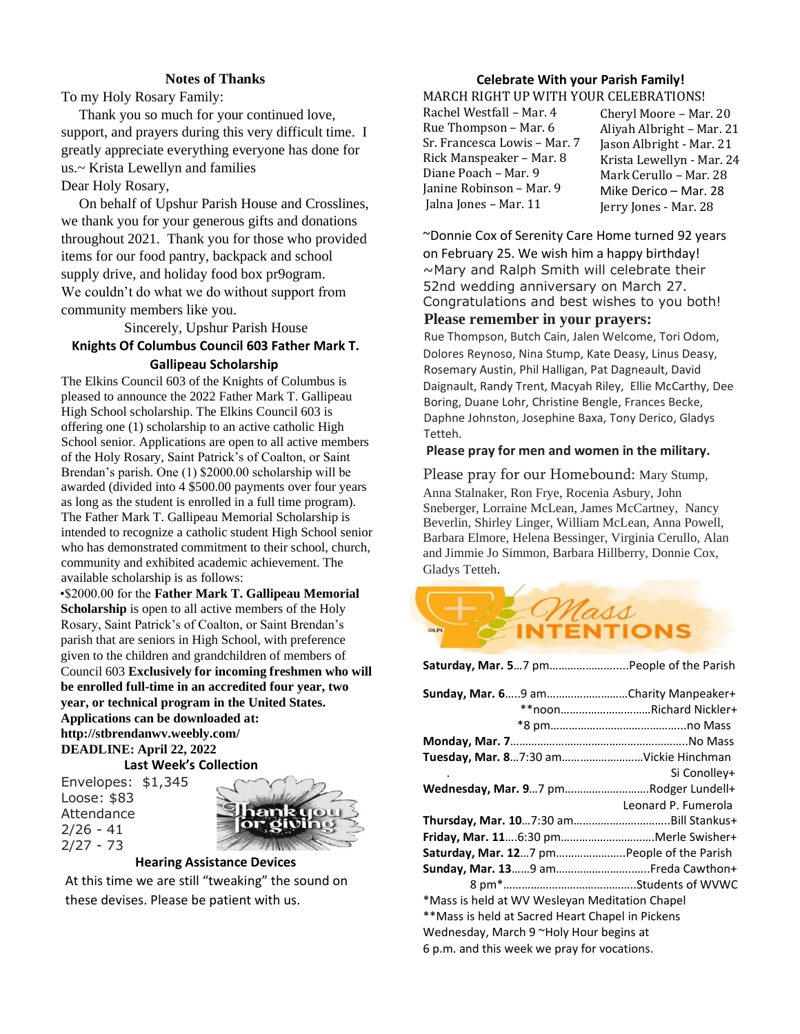#### **Notes of Thanks**

To my Holy Rosary Family:

 Thank you so much for your continued love, support, and prayers during this very difficult time. I greatly appreciate everything everyone has done for us.~ Krista Lewellyn and families Dear Holy Rosary,

 On behalf of Upshur Parish House and Crosslines, we thank you for your generous gifts and donations throughout 2021. Thank you for those who provided items for our food pantry, backpack and school supply drive, and holiday food box pr9ogram. We couldn't do what we do without support from community members like you.

Sincerely, Upshur Parish House **Knights Of Columbus Council 603 Father Mark T.** 

#### **Gallipeau Scholarship**

The Elkins Council 603 of the Knights of Columbus is pleased to announce the 2022 Father Mark T. Gallipeau High School scholarship. The Elkins Council 603 is offering one (1) scholarship to an active catholic High School senior. Applications are open to all active members of the Holy Rosary, Saint Patrick's of Coalton, or Saint Brendan's parish. One (1) \$2000.00 scholarship will be awarded (divided into 4 \$500.00 payments over four years as long as the student is enrolled in a full time program). The Father Mark T. Gallipeau Memorial Scholarship is intended to recognize a catholic student High School senior who has demonstrated commitment to their school, church, community and exhibited academic achievement. The available scholarship is as follows:

•\$2000.00 for the **Father Mark T. Gallipeau Memorial Scholarship** is open to all active members of the Holy Rosary, Saint Patrick's of Coalton, or Saint Brendan's parish that are seniors in High School, with preference given to the children and grandchildren of members of Council 603 **Exclusively for incoming freshmen who will be enrolled full-time in an accredited four year, two year, or technical program in the United States. Applications can be downloaded at: http://stbrendanwv.weebly.com/ DEADLINE: April 22, 2022 Last Week's Collection**

Envelopes: \$1,345 Loose: \$83 Attendance  $2/26 - 41$ 2/27 - 73



**Hearing Assistance Devices**

At this time we are still "tweaking" the sound on these devises. Please be patient with us.

### **Celebrate With your Parish Family!**

MARCH RIGHT UP WITH YOUR CELEBRATIONS!

| Rachel Westfall – Mar. 4     |
|------------------------------|
| Rue Thompson – Mar. 6        |
| Sr. Francesca Lowis – Mar. 7 |
| Rick Manspeaker – Mar. 8     |
| Diane Poach – Mar. 9         |
| Janine Robinson – Mar. 9     |
| Jalna Jones - Mar. 11        |

Cheryl Moore – Mar. 20 Aliyah Albright – Mar. 21 Jason Albright - Mar. 21 Krista Lewellyn - Mar. 24 Mark Cerullo – Mar. 28 Mike Derico – Mar. 28 Jerry Jones - Mar. 28

~Donnie Cox of Serenity Care Home turned 92 years on February 25. We wish him a happy birthday! ~Mary and Ralph Smith will celebrate their 52nd wedding anniversary on March 27. Congratulations and best wishes to you both!

#### **Please remember in your prayers:**

Rue Thompson, Butch Cain, Jalen Welcome, Tori Odom, Dolores Reynoso, Nina Stump, Kate Deasy, Linus Deasy, Rosemary Austin, Phil Halligan, Pat Dagneault, David Daignault, Randy Trent, Macyah Riley, Ellie McCarthy, Dee Boring, Duane Lohr, Christine Bengle, Frances Becke, Daphne Johnston, Josephine Baxa, Tony Derico, Gladys Tetteh.

#### **Please pray for men and women in the military.**

#### Please pray for our Homebound: Mary Stump,

Anna Stalnaker, Ron Frye, Rocenia Asbury, John Sneberger, Lorraine McLean, James McCartney, Nancy Beverlin, Shirley Linger, William McLean, Anna Powell, Barbara Elmore, Helena Bessinger, Virginia Cerullo, Alan and Jimmie Jo Simmon, Barbara Hillberry, Donnie Cox, Gladys Tetteh.

**Saturday, Mar. 5**…7 pm………………….....People of the Parish



| Sunday, Mar. 69 amCharity Manpeaker+             |                     |
|--------------------------------------------------|---------------------|
| **noonRichard Nickler+                           |                     |
|                                                  |                     |
|                                                  |                     |
| Tuesday, Mar. 87:30 amVickie Hinchman            |                     |
|                                                  | Si Conolley+        |
| Wednesday, Mar. 97 pmRodger Lundell+             |                     |
|                                                  | Leonard P. Fumerola |
|                                                  |                     |
| Friday, Mar. 116:30 pmMerle Swisher+             |                     |
| Saturday, Mar. 127 pm People of the Parish       |                     |
|                                                  |                     |
|                                                  |                     |
| *Mass is held at WV Wesleyan Meditation Chapel   |                     |
| **Mass is held at Sacred Heart Chapel in Pickens |                     |
| Wednesday, March 9 ~Holy Hour begins at          |                     |
| 6 p.m. and this week we pray for vocations.      |                     |